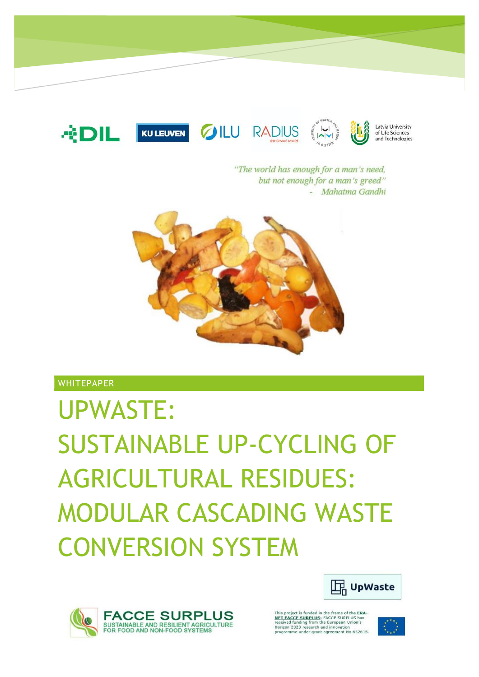

"The world has enough for a man's need, but not enough for a man's greed" - Mahatma Gandhi



**WHITEPAPER** 

# UPWASTE: SUSTAINABLE UP-CYCLING OF AGRICULTURAL RESIDUES: MODULAR CASCADING WASTE CONVERSION SYSTEM





project is funded in the frame of the ERA The project is future in the frame of the **EXAMPLUS**<br>NET FACCE SURPLUS; FACCE SURPLUS has<br>received funding from the European Union's<br>Horizon 2020 research and innovation<br>programme under grant agreement No 652615.

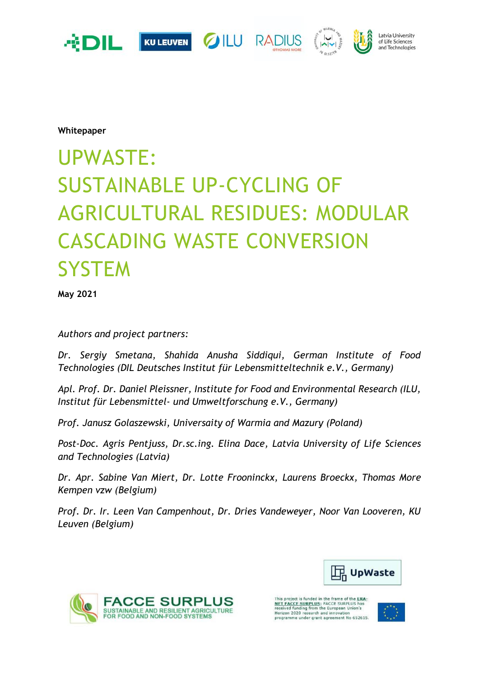

**Whitepaper**

# UPWASTE: SUSTAINABLE UP-CYCLING OF AGRICULTURAL RESIDUES: MODULAR CASCADING WASTE CONVERSION **SYSTEM**

**May 2021**

*Authors and project partners:* 

*Dr. Sergiy Smetana, Shahida Anusha Siddiqui, German Institute of Food Technologies (DIL Deutsches Institut für Lebensmitteltechnik e.V., Germany)* 

*Apl. Prof. Dr. Daniel Pleissner, Institute for Food and Environmental Research (ILU, Institut für Lebensmittel- und Umweltforschung e.V., Germany)* 

*Prof. Janusz Golaszewski, Universaity of Warmia and Mazury (Poland)* 

*Post-Doc. Agris Pentjuss, Dr.sc.ing. Elina Dace, Latvia University of Life Sciences and Technologies (Latvia)* 

*Dr. Apr. Sabine Van Miert, Dr. Lotte Frooninckx, Laurens Broeckx, Thomas More Kempen vzw (Belgium)* 

*Prof. Dr. Ir. Leen Van Campenhout, Dr. Dries Vandeweyer, Noor Van Looveren, KU Leuven (Belgium)*





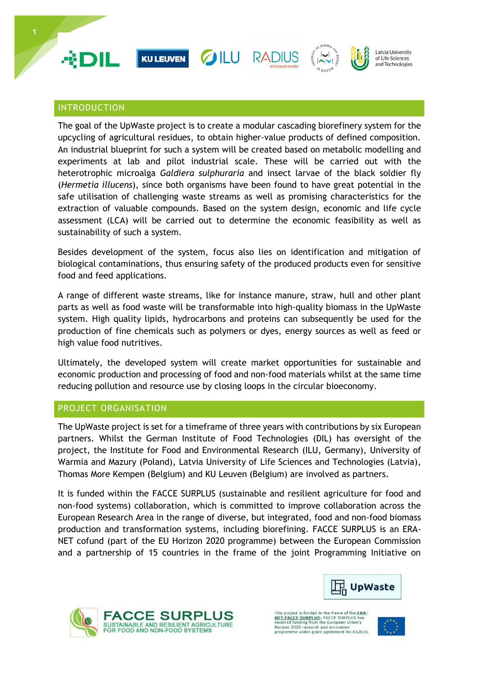

# INTRODUCTION

The goal of the UpWaste project is to create a modular cascading biorefinery system for the upcycling of agricultural residues, to obtain higher-value products of defined composition. An industrial blueprint for such a system will be created based on metabolic modelling and experiments at lab and pilot industrial scale. These will be carried out with the heterotrophic microalga *Galdiera sulphuraria* and insect larvae of the black soldier fly (*Hermetia illucens*), since both organisms have been found to have great potential in the safe utilisation of challenging waste streams as well as promising characteristics for the extraction of valuable compounds. Based on the system design, economic and life cycle assessment (LCA) will be carried out to determine the economic feasibility as well as sustainability of such a system.

Besides development of the system, focus also lies on identification and mitigation of biological contaminations, thus ensuring safety of the produced products even for sensitive food and feed applications.

A range of different waste streams, like for instance manure, straw, hull and other plant parts as well as food waste will be transformable into high-quality biomass in the UpWaste system. High quality lipids, hydrocarbons and proteins can subsequently be used for the production of fine chemicals such as polymers or dyes, energy sources as well as feed or high value food nutritives.

Ultimately, the developed system will create market opportunities for sustainable and economic production and processing of food and non-food materials whilst at the same time reducing pollution and resource use by closing loops in the circular bioeconomy.

#### PROJECT ORGANISATION

The UpWaste project is set for a timeframe of three years with contributions by six European partners. Whilst the German Institute of Food Technologies (DIL) has oversight of the project, the Institute for Food and Environmental Research (ILU, Germany), University of Warmia and Mazury (Poland), Latvia University of Life Sciences and Technologies (Latvia), Thomas More Kempen (Belgium) and KU Leuven (Belgium) are involved as partners.

It is funded within the FACCE SURPLUS (sustainable and resilient agriculture for food and non-food systems) collaboration, which is committed to improve collaboration across the European Research Area in the range of diverse, but integrated, food and non-food biomass production and transformation systems, including biorefining. FACCE SURPLUS is an ERA-NET cofund (part of the EU Horizon 2020 programme) between the European Commission and a partnership of 15 countries in the frame of the joint Programming Initiative on





project is funded in the frame of the The project is function of the finite of the state of the NATE PACCE SURPLUS; FACCE SURPLUS has<br>received funding from the European Union's<br>Horizon 2020 research and innovation<br>programme under grant agreement No 652615.

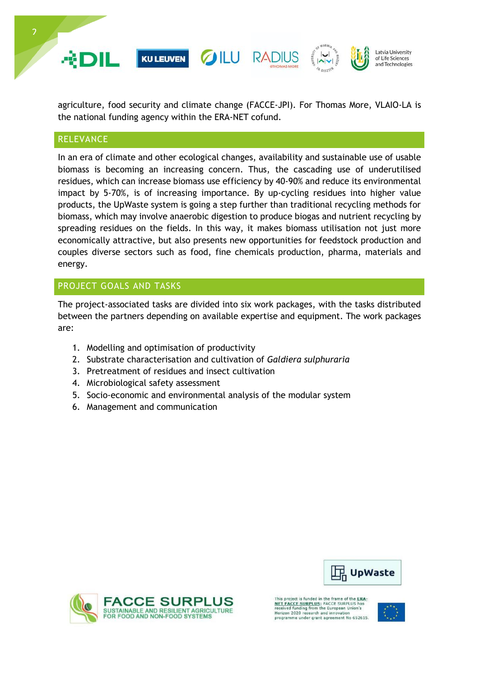

agriculture, food security and climate change (FACCE-JPI). For Thomas More, VLAIO-LA is the national funding agency within the ERA-NET cofund.

## **RELEVANCE**

In an era of climate and other ecological changes, availability and sustainable use of usable biomass is becoming an increasing concern. Thus, the cascading use of underutilised residues, which can increase biomass use efficiency by 40-90% and reduce its environmental impact by 5-70%, is of increasing importance. By up-cycling residues into higher value products, the UpWaste system is going a step further than traditional recycling methods for biomass, which may involve anaerobic digestion to produce biogas and nutrient recycling by spreading residues on the fields. In this way, it makes biomass utilisation not just more economically attractive, but also presents new opportunities for feedstock production and couples diverse sectors such as food, fine chemicals production, pharma, materials and energy.

## PROJECT GOALS AND TASKS

The project-associated tasks are divided into six work packages, with the tasks distributed between the partners depending on available expertise and equipment. The work packages are:

- 1. Modelling and optimisation of productivity
- 2. Substrate characterisation and cultivation of *Galdiera sulphuraria*
- 3. Pretreatment of residues and insect cultivation
- 4. Microbiological safety assessment
- 5. Socio-economic and environmental analysis of the modular system
- 6. Management and communication





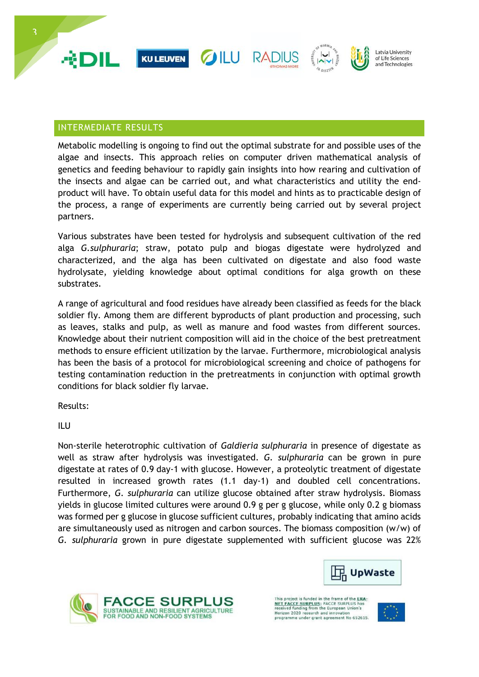

# INTERMEDIATE RESULTS

Metabolic modelling is ongoing to find out the optimal substrate for and possible uses of the algae and insects. This approach relies on computer driven mathematical analysis of genetics and feeding behaviour to rapidly gain insights into how rearing and cultivation of the insects and algae can be carried out, and what characteristics and utility the endproduct will have. To obtain useful data for this model and hints as to practicable design of the process, a range of experiments are currently being carried out by several project partners.

Various substrates have been tested for hydrolysis and subsequent cultivation of the red alga *G.sulphuraria*; straw, potato pulp and biogas digestate were hydrolyzed and characterized, and the alga has been cultivated on digestate and also food waste hydrolysate, yielding knowledge about optimal conditions for alga growth on these substrates.

A range of agricultural and food residues have already been classified as feeds for the black soldier fly. Among them are different byproducts of plant production and processing, such as leaves, stalks and pulp, as well as manure and food wastes from different sources. Knowledge about their nutrient composition will aid in the choice of the best pretreatment methods to ensure efficient utilization by the larvae. Furthermore, microbiological analysis has been the basis of a protocol for microbiological screening and choice of pathogens for testing contamination reduction in the pretreatments in conjunction with optimal growth conditions for black soldier fly larvae.

Results:

ILU

Non-sterile heterotrophic cultivation of *Galdieria sulphuraria* in presence of digestate as well as straw after hydrolysis was investigated. *G. sulphuraria* can be grown in pure digestate at rates of 0.9 day-1 with glucose. However, a proteolytic treatment of digestate resulted in increased growth rates (1.1 day-1) and doubled cell concentrations. Furthermore, *G. sulphuraria* can utilize glucose obtained after straw hydrolysis. Biomass yields in glucose limited cultures were around 0.9 g per g glucose, while only 0.2 g biomass was formed per g glucose in glucose sufficient cultures, probably indicating that amino acids are simultaneously used as nitrogen and carbon sources. The biomass composition (w/w) of *G. sulphuraria* grown in pure digestate supplemented with sufficient glucose was 22%





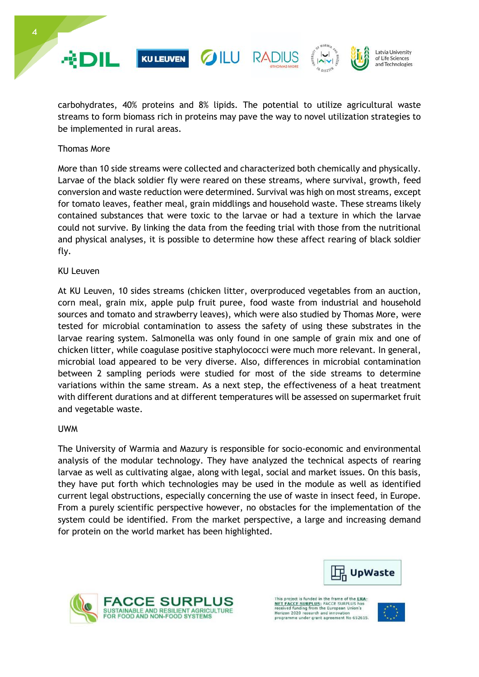





Latvia University of Life Sciences and Technologies

carbohydrates, 40% proteins and 8% lipids. The potential to utilize agricultural waste streams to form biomass rich in proteins may pave the way to novel utilization strategies to be implemented in rural areas.

#### Thomas More

More than 10 side streams were collected and characterized both chemically and physically. Larvae of the black soldier fly were reared on these streams, where survival, growth, feed conversion and waste reduction were determined. Survival was high on most streams, except for tomato leaves, feather meal, grain middlings and household waste. These streams likely contained substances that were toxic to the larvae or had a texture in which the larvae could not survive. By linking the data from the feeding trial with those from the nutritional and physical analyses, it is possible to determine how these affect rearing of black soldier fly.

#### KU Leuven

At KU Leuven, 10 sides streams (chicken litter, overproduced vegetables from an auction, corn meal, grain mix, apple pulp fruit puree, food waste from industrial and household sources and tomato and strawberry leaves), which were also studied by Thomas More, were tested for microbial contamination to assess the safety of using these substrates in the larvae rearing system. Salmonella was only found in one sample of grain mix and one of chicken litter, while coagulase positive staphylococci were much more relevant. In general, microbial load appeared to be very diverse. Also, differences in microbial contamination between 2 sampling periods were studied for most of the side streams to determine variations within the same stream. As a next step, the effectiveness of a heat treatment with different durations and at different temperatures will be assessed on supermarket fruit and vegetable waste.

#### UWM

The University of Warmia and Mazury is responsible for socio-economic and environmental analysis of the modular technology. They have analyzed the technical aspects of rearing larvae as well as cultivating algae, along with legal, social and market issues. On this basis, they have put forth which technologies may be used in the module as well as identified current legal obstructions, especially concerning the use of waste in insect feed, in Europe. From a purely scientific perspective however, no obstacles for the implementation of the system could be identified. From the market perspective, a large and increasing demand for protein on the world market has been highlighted.





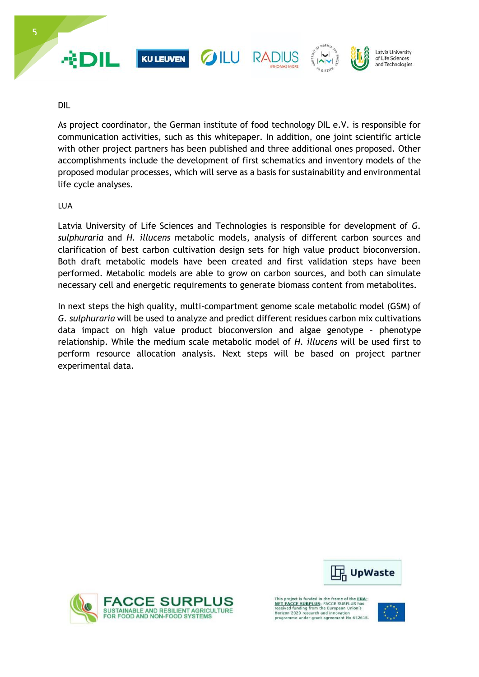

DIL

As project coordinator, the German institute of food technology DIL e.V. is responsible for communication activities, such as this whitepaper. In addition, one joint scientific article with other project partners has been published and three additional ones proposed. Other accomplishments include the development of first schematics and inventory models of the proposed modular processes, which will serve as a basis for sustainability and environmental life cycle analyses.

LUA

Latvia University of Life Sciences and Technologies is responsible for development of *G. sulphuraria* and *H. illucens* metabolic models, analysis of different carbon sources and clarification of best carbon cultivation design sets for high value product bioconversion. Both draft metabolic models have been created and first validation steps have been performed. Metabolic models are able to grow on carbon sources, and both can simulate necessary cell and energetic requirements to generate biomass content from metabolites.

In next steps the high quality, multi-compartment genome scale metabolic model (GSM) of *G. sulphuraria* will be used to analyze and predict different residues carbon mix cultivations data impact on high value product bioconversion and algae genotype – phenotype relationship. While the medium scale metabolic model of *H. illucens* will be used first to perform resource allocation analysis. Next steps will be based on project partner experimental data.





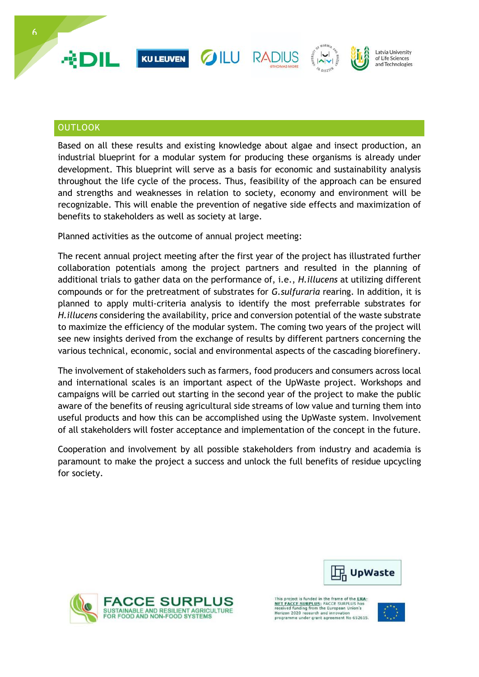

# **OUTLOOK**

Based on all these results and existing knowledge about algae and insect production, an industrial blueprint for a modular system for producing these organisms is already under development. This blueprint will serve as a basis for economic and sustainability analysis throughout the life cycle of the process. Thus, feasibility of the approach can be ensured and strengths and weaknesses in relation to society, economy and environment will be recognizable. This will enable the prevention of negative side effects and maximization of benefits to stakeholders as well as society at large.

Planned activities as the outcome of annual project meeting:

The recent annual project meeting after the first year of the project has illustrated further collaboration potentials among the project partners and resulted in the planning of additional trials to gather data on the performance of, i.e., *H.illucens* at utilizing different compounds or for the pretreatment of substrates for *G.sulfuraria* rearing. In addition, it is planned to apply multi-criteria analysis to identify the most preferrable substrates for *H.illucens* considering the availability, price and conversion potential of the waste substrate to maximize the efficiency of the modular system. The coming two years of the project will see new insights derived from the exchange of results by different partners concerning the various technical, economic, social and environmental aspects of the cascading biorefinery.

The involvement of stakeholders such as farmers, food producers and consumers across local and international scales is an important aspect of the UpWaste project. Workshops and campaigns will be carried out starting in the second year of the project to make the public aware of the benefits of reusing agricultural side streams of low value and turning them into useful products and how this can be accomplished using the UpWaste system. Involvement of all stakeholders will foster acceptance and implementation of the concept in the future.

Cooperation and involvement by all possible stakeholders from industry and academia is paramount to make the project a success and unlock the full benefits of residue upcycling for society.